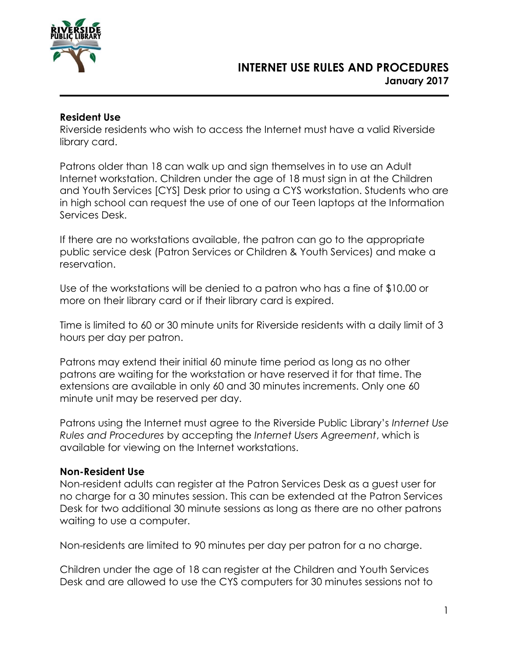

### **Resident Use**

Riverside residents who wish to access the Internet must have a valid Riverside library card.

Patrons older than 18 can walk up and sign themselves in to use an Adult Internet workstation. Children under the age of 18 must sign in at the Children and Youth Services [CYS] Desk prior to using a CYS workstation. Students who are in high school can request the use of one of our Teen laptops at the Information Services Desk.

If there are no workstations available, the patron can go to the appropriate public service desk (Patron Services or Children & Youth Services) and make a reservation.

Use of the workstations will be denied to a patron who has a fine of \$10.00 or more on their library card or if their library card is expired.

Time is limited to 60 or 30 minute units for Riverside residents with a daily limit of 3 hours per day per patron.

Patrons may extend their initial 60 minute time period as long as no other patrons are waiting for the workstation or have reserved it for that time. The extensions are available in only 60 and 30 minutes increments. Only one 60 minute unit may be reserved per day.

Patrons using the Internet must agree to the Riverside Public Library's *Internet Use Rules and Procedures* by accepting the *Internet Users Agreement*, which is available for viewing on the Internet workstations.

#### **Non-Resident Use**

Non-resident adults can register at the Patron Services Desk as a guest user for no charge for a 30 minutes session. This can be extended at the Patron Services Desk for two additional 30 minute sessions as long as there are no other patrons waiting to use a computer.

Non-residents are limited to 90 minutes per day per patron for a no charge.

Children under the age of 18 can register at the Children and Youth Services Desk and are allowed to use the CYS computers for 30 minutes sessions not to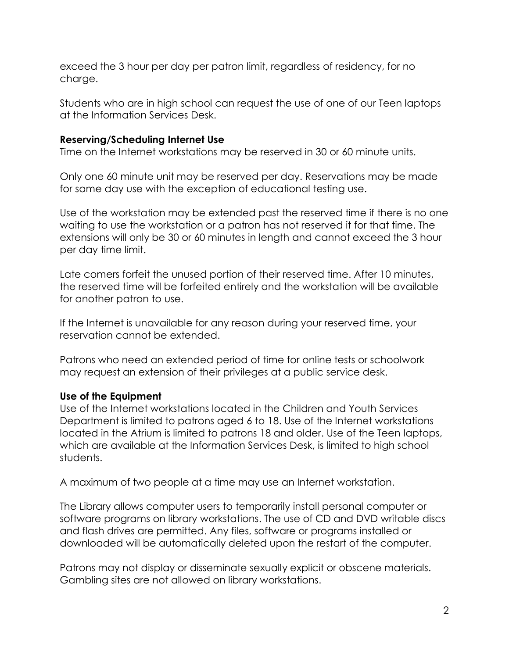exceed the 3 hour per day per patron limit, regardless of residency, for no charge.

Students who are in high school can request the use of one of our Teen laptops at the Information Services Desk.

## **Reserving/Scheduling Internet Use**

Time on the Internet workstations may be reserved in 30 or 60 minute units.

Only one 60 minute unit may be reserved per day. Reservations may be made for same day use with the exception of educational testing use.

Use of the workstation may be extended past the reserved time if there is no one waiting to use the workstation or a patron has not reserved it for that time. The extensions will only be 30 or 60 minutes in length and cannot exceed the 3 hour per day time limit.

Late comers forfeit the unused portion of their reserved time. After 10 minutes, the reserved time will be forfeited entirely and the workstation will be available for another patron to use.

If the Internet is unavailable for any reason during your reserved time, your reservation cannot be extended.

Patrons who need an extended period of time for online tests or schoolwork may request an extension of their privileges at a public service desk.

# **Use of the Equipment**

Use of the Internet workstations located in the Children and Youth Services Department is limited to patrons aged 6 to 18. Use of the Internet workstations located in the Atrium is limited to patrons 18 and older. Use of the Teen laptops, which are available at the Information Services Desk, is limited to high school students.

A maximum of two people at a time may use an Internet workstation.

The Library allows computer users to temporarily install personal computer or software programs on library workstations. The use of CD and DVD writable discs and flash drives are permitted. Any files, software or programs installed or downloaded will be automatically deleted upon the restart of the computer.

Patrons may not display or disseminate sexually explicit or obscene materials. Gambling sites are not allowed on library workstations.